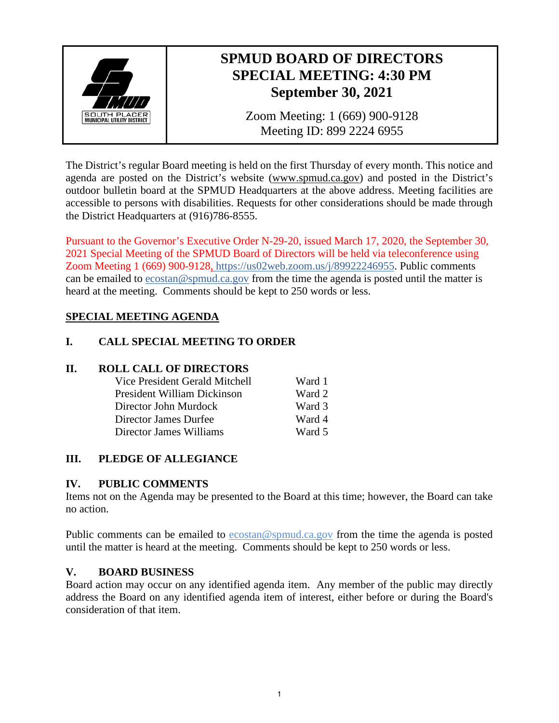

## **SPMUD BOARD OF DIRECTORS SPECIAL MEETING: 4:30 PM September 30, 2021**

Zoom Meeting: 1 (669) 900-9128 Meeting ID: 899 2224 6955

The District's regular Board meeting is held on the first Thursday of every month. This notice and agenda are posted on the District's website [\(www.spmud.ca.gov\)](http://www.spmud.ca.gov/) and posted in the District's outdoor bulletin board at the SPMUD Headquarters at the above address. Meeting facilities are accessible to persons with disabilities. Requests for other considerations should be made through the District Headquarters at (916)786-8555.

Pursuant to the Governor's Executive Order N-29-20, issued March 17, 2020, the September 30, 2021 Special Meeting of the SPMUD Board of Directors will be held via teleconference using Zoom Meeting 1 (669) 900-9128, [https://us02web.zoom.us/j/89922246955.](https://us02web.zoom.us/j/89922246955) Public comments can be emailed to [ecostan@spmud.ca.gov](mailto:ecostan@spmud.ca.gov) from the time the agenda is posted until the matter is heard at the meeting. Comments should be kept to 250 words or less.

## **SPECIAL MEETING AGENDA**

## **I. CALL SPECIAL MEETING TO ORDER**

#### **II. ROLL CALL OF DIRECTORS**

| Vice President Gerald Mitchell | Ward 1 |
|--------------------------------|--------|
| President William Dickinson    | Ward 2 |
| Director John Murdock          | Ward 3 |
| Director James Durfee          | Ward 4 |
| Director James Williams        | Ward 5 |

#### **III. PLEDGE OF ALLEGIANCE**

#### **IV. PUBLIC COMMENTS**

Items not on the Agenda may be presented to the Board at this time; however, the Board can take no action.

Public comments can be emailed to [ecostan@spmud.ca.gov](mailto:ecostan@spmud.ca.gov) from the time the agenda is posted until the matter is heard at the meeting. Comments should be kept to 250 words or less.

#### **V. BOARD BUSINESS**

Board action may occur on any identified agenda item. Any member of the public may directly address the Board on any identified agenda item of interest, either before or during the Board's consideration of that item.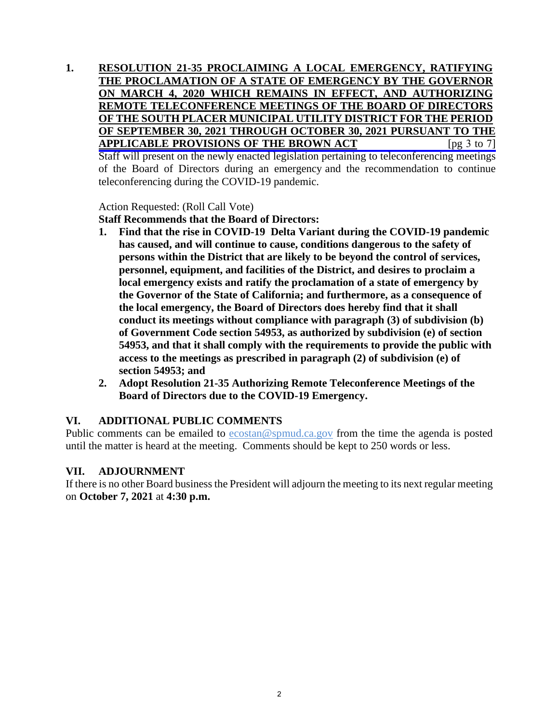**1. RESOLUTION 21-35 PROCLAIMING A LOCAL EMERGENCY, RATIFYING THE PROCLAMATION OF A STATE OF EMERGENCY BY THE GOVERNOR ON MARCH 4, 2020 WHICH REMAINS IN EFFECT, AND AUTHORIZING REMOTE TELECONFERENCE MEETINGS OF THE BOARD OF DIRECTORS OF THE SOUTH PLACER MUNICIPAL UTILITY DISTRICT FOR THE PERIOD [OF SEPTEMBER 30, 2021 THROUGH OCTOBER 30, 2021 PURSUANT TO THE](#page-2-0) APPLICABLE PROVISIONS OF THE BROWN ACT** [pg 3 to 7] Staff will present on the newly enacted legislation pertaining to teleconferencing meetings of the Board of Directors during an emergency and the recommendation to continue teleconferencing during the COVID-19 pandemic.

Action Requested: (Roll Call Vote)

**Staff Recommends that the Board of Directors:** 

- **1. Find that the rise in COVID-19 Delta Variant during the COVID-19 pandemic has caused, and will continue to cause, conditions dangerous to the safety of persons within the District that are likely to be beyond the control of services, personnel, equipment, and facilities of the District, and desires to proclaim a local emergency exists and ratify the proclamation of a state of emergency by the Governor of the State of California; and furthermore, as a consequence of the local emergency, the Board of Directors does hereby find that it shall conduct its meetings without compliance with paragraph (3) of subdivision (b) of Government Code section 54953, as authorized by subdivision (e) of section 54953, and that it shall comply with the requirements to provide the public with access to the meetings as prescribed in paragraph (2) of subdivision (e) of section 54953; and**
- **2. Adopt Resolution 21-35 Authorizing Remote Teleconference Meetings of the Board of Directors due to the COVID-19 Emergency.**

#### **VI. ADDITIONAL PUBLIC COMMENTS**

Public comments can be emailed to [ecostan@spmud.ca.gov](mailto:ecostan@spmud.ca.gov) from the time the agenda is posted until the matter is heard at the meeting. Comments should be kept to 250 words or less.

#### **VII. ADJOURNMENT**

If there is no other Board business the President will adjourn the meeting to its next regular meeting on **October 7, 2021** at **4:30 p.m.**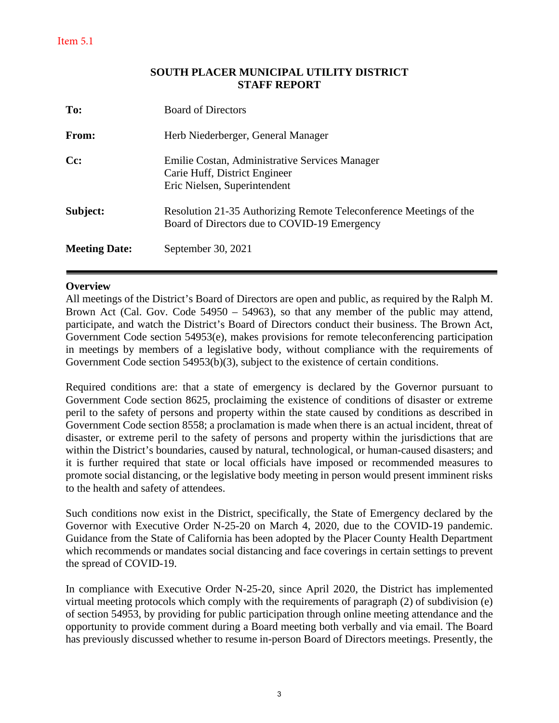#### **SOUTH PLACER MUNICIPAL UTILITY DISTRICT STAFF REPORT**

<span id="page-2-0"></span>

| To:                  | <b>Board of Directors</b>                                                                                          |
|----------------------|--------------------------------------------------------------------------------------------------------------------|
| From:                | Herb Niederberger, General Manager                                                                                 |
| Cc:                  | Emilie Costan, Administrative Services Manager<br>Carie Huff, District Engineer<br>Eric Nielsen, Superintendent    |
| Subject:             | Resolution 21-35 Authorizing Remote Teleconference Meetings of the<br>Board of Directors due to COVID-19 Emergency |
| <b>Meeting Date:</b> | September 30, 2021                                                                                                 |

#### **Overview**

All meetings of the District's Board of Directors are open and public, as required by the Ralph M. Brown Act (Cal. Gov. Code 54950 – 54963), so that any member of the public may attend, participate, and watch the District's Board of Directors conduct their business. The Brown Act, Government Code section 54953(e), makes provisions for remote teleconferencing participation in meetings by members of a legislative body, without compliance with the requirements of Government Code section 54953(b)(3), subject to the existence of certain conditions.

Required conditions are: that a state of emergency is declared by the Governor pursuant to Government Code section 8625, proclaiming the existence of conditions of disaster or extreme peril to the safety of persons and property within the state caused by conditions as described in Government Code section 8558; a proclamation is made when there is an actual incident, threat of disaster, or extreme peril to the safety of persons and property within the jurisdictions that are within the District's boundaries, caused by natural, technological, or human-caused disasters; and it is further required that state or local officials have imposed or recommended measures to promote social distancing, or the legislative body meeting in person would present imminent risks to the health and safety of attendees.

Such conditions now exist in the District, specifically, the State of Emergency declared by the Governor with Executive Order N-25-20 on March 4, 2020, due to the COVID-19 pandemic. Guidance from the State of California has been adopted by the Placer County Health Department which recommends or mandates social distancing and face coverings in certain settings to prevent the spread of COVID-19.

In compliance with Executive Order N-25-20, since April 2020, the District has implemented virtual meeting protocols which comply with the requirements of paragraph (2) of subdivision (e) of section 54953, by providing for public participation through online meeting attendance and the opportunity to provide comment during a Board meeting both verbally and via email. The Board has previously discussed whether to resume in-person Board of Directors meetings. Presently, the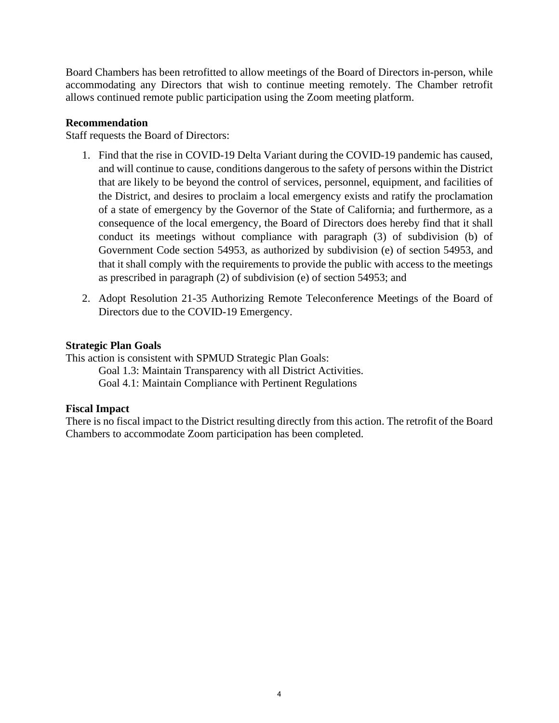Board Chambers has been retrofitted to allow meetings of the Board of Directors in-person, while accommodating any Directors that wish to continue meeting remotely. The Chamber retrofit allows continued remote public participation using the Zoom meeting platform.

#### **Recommendation**

Staff requests the Board of Directors:

- 1. Find that the rise in COVID-19 Delta Variant during the COVID-19 pandemic has caused, and will continue to cause, conditions dangerous to the safety of persons within the District that are likely to be beyond the control of services, personnel, equipment, and facilities of the District, and desires to proclaim a local emergency exists and ratify the proclamation of a state of emergency by the Governor of the State of California; and furthermore, as a consequence of the local emergency, the Board of Directors does hereby find that it shall conduct its meetings without compliance with paragraph (3) of subdivision (b) of Government Code section 54953, as authorized by subdivision (e) of section 54953, and that it shall comply with the requirements to provide the public with access to the meetings as prescribed in paragraph (2) of subdivision (e) of section 54953; and
- 2. Adopt Resolution 21-35 Authorizing Remote Teleconference Meetings of the Board of Directors due to the COVID-19 Emergency.

#### **Strategic Plan Goals**

This action is consistent with SPMUD Strategic Plan Goals:

Goal 1.3: Maintain Transparency with all District Activities. Goal 4.1: Maintain Compliance with Pertinent Regulations

#### **Fiscal Impact**

There is no fiscal impact to the District resulting directly from this action. The retrofit of the Board Chambers to accommodate Zoom participation has been completed.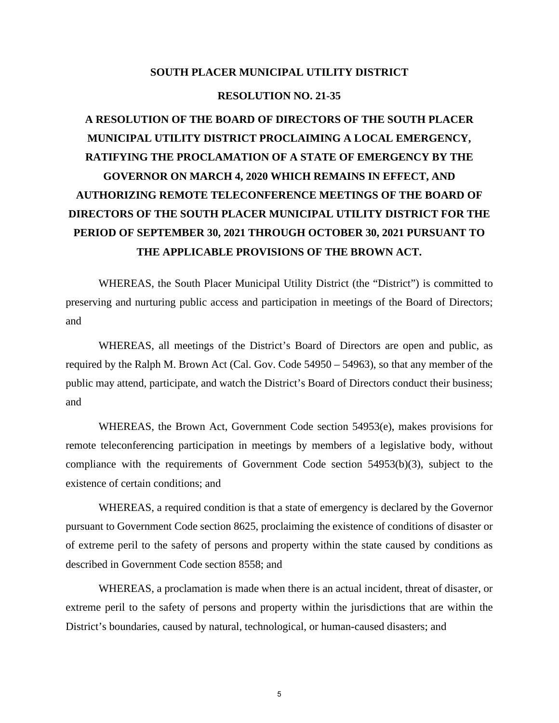#### **SOUTH PLACER MUNICIPAL UTILITY DISTRICT**

#### **RESOLUTION NO. 21-35**

# **A RESOLUTION OF THE BOARD OF DIRECTORS OF THE SOUTH PLACER MUNICIPAL UTILITY DISTRICT PROCLAIMING A LOCAL EMERGENCY, RATIFYING THE PROCLAMATION OF A STATE OF EMERGENCY BY THE GOVERNOR ON MARCH 4, 2020 WHICH REMAINS IN EFFECT, AND AUTHORIZING REMOTE TELECONFERENCE MEETINGS OF THE BOARD OF DIRECTORS OF THE SOUTH PLACER MUNICIPAL UTILITY DISTRICT FOR THE PERIOD OF SEPTEMBER 30, 2021 THROUGH OCTOBER 30, 2021 PURSUANT TO THE APPLICABLE PROVISIONS OF THE BROWN ACT.**

WHEREAS, the South Placer Municipal Utility District (the "District") is committed to preserving and nurturing public access and participation in meetings of the Board of Directors; and

WHEREAS, all meetings of the District's Board of Directors are open and public, as required by the Ralph M. Brown Act (Cal. Gov. Code 54950 – 54963), so that any member of the public may attend, participate, and watch the District's Board of Directors conduct their business; and

WHEREAS, the Brown Act, Government Code section 54953(e), makes provisions for remote teleconferencing participation in meetings by members of a legislative body, without compliance with the requirements of Government Code section 54953(b)(3), subject to the existence of certain conditions; and

WHEREAS, a required condition is that a state of emergency is declared by the Governor pursuant to Government Code section 8625, proclaiming the existence of conditions of disaster or of extreme peril to the safety of persons and property within the state caused by conditions as described in Government Code section 8558; and

WHEREAS, a proclamation is made when there is an actual incident, threat of disaster, or extreme peril to the safety of persons and property within the jurisdictions that are within the District's boundaries, caused by natural, technological, or human-caused disasters; and

5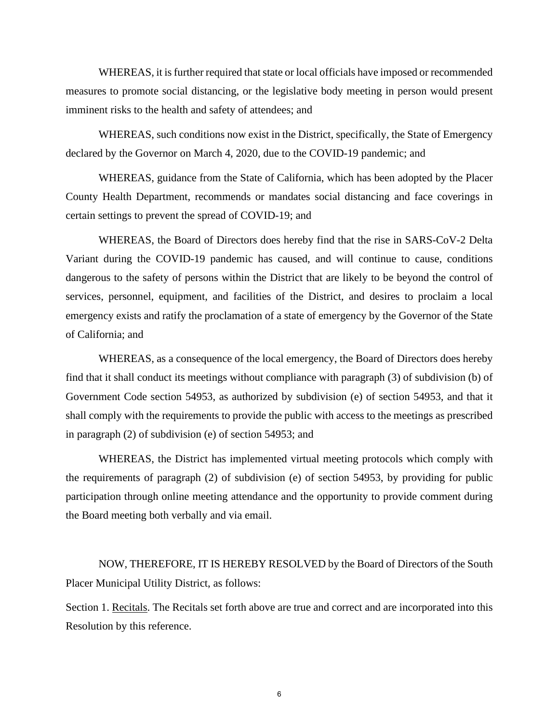WHEREAS, it is further required that state or local officials have imposed or recommended measures to promote social distancing, or the legislative body meeting in person would present imminent risks to the health and safety of attendees; and

WHEREAS, such conditions now exist in the District, specifically, the State of Emergency declared by the Governor on March 4, 2020, due to the COVID-19 pandemic; and

WHEREAS, guidance from the State of California, which has been adopted by the Placer County Health Department, recommends or mandates social distancing and face coverings in certain settings to prevent the spread of COVID-19; and

WHEREAS, the Board of Directors does hereby find that the rise in SARS-CoV-2 Delta Variant during the COVID-19 pandemic has caused, and will continue to cause, conditions dangerous to the safety of persons within the District that are likely to be beyond the control of services, personnel, equipment, and facilities of the District, and desires to proclaim a local emergency exists and ratify the proclamation of a state of emergency by the Governor of the State of California; and

WHEREAS, as a consequence of the local emergency, the Board of Directors does hereby find that it shall conduct its meetings without compliance with paragraph (3) of subdivision (b) of Government Code section 54953, as authorized by subdivision (e) of section 54953, and that it shall comply with the requirements to provide the public with access to the meetings as prescribed in paragraph (2) of subdivision (e) of section 54953; and

WHEREAS, the District has implemented virtual meeting protocols which comply with the requirements of paragraph (2) of subdivision (e) of section 54953, by providing for public participation through online meeting attendance and the opportunity to provide comment during the Board meeting both verbally and via email.

NOW, THEREFORE, IT IS HEREBY RESOLVED by the Board of Directors of the South Placer Municipal Utility District, as follows:

Section 1. Recitals. The Recitals set forth above are true and correct and are incorporated into this Resolution by this reference.